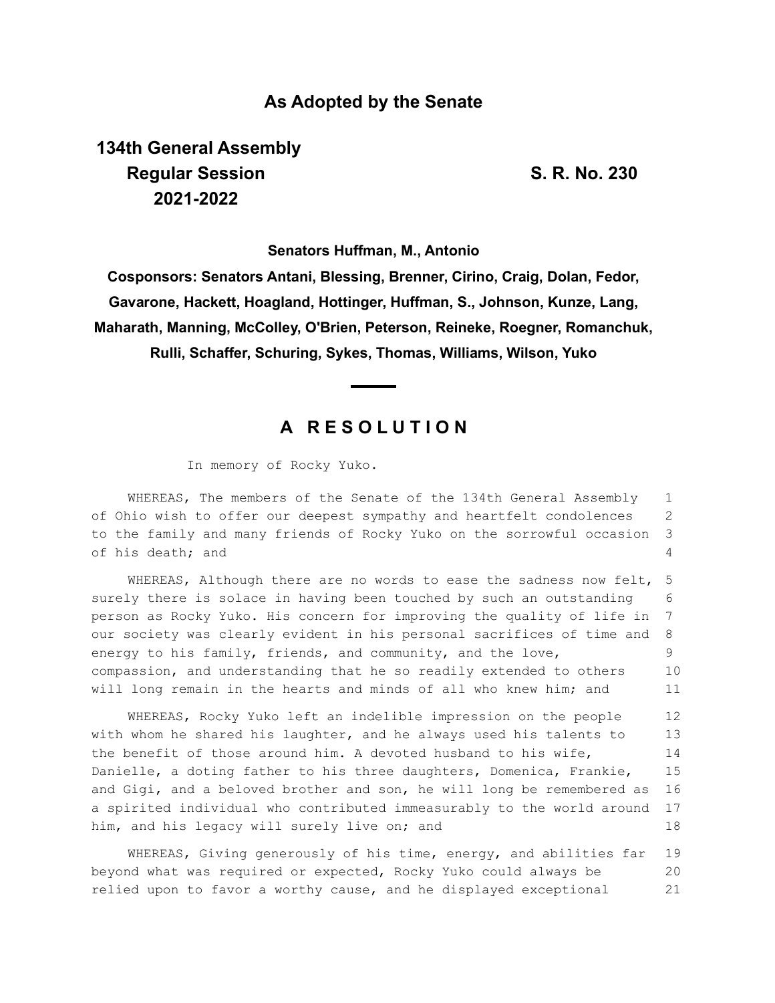## **As Adopted by the Senate**

# **134th General Assembly Regular Session S. R. No. 230 2021-2022**

**Senators Huffman, M., Antonio**

**Cosponsors: Senators Antani, Blessing, Brenner, Cirino, Craig, Dolan, Fedor, Gavarone, Hackett, Hoagland, Hottinger, Huffman, S., Johnson, Kunze, Lang, Maharath, Manning, McColley, O'Brien, Peterson, Reineke, Roegner, Romanchuk, Rulli, Schaffer, Schuring, Sykes, Thomas, Williams, Wilson, Yuko**

# **A R E S O L U T I O N**

In memory of Rocky Yuko.

WHEREAS, The members of the Senate of the 134th General Assembly of Ohio wish to offer our deepest sympathy and heartfelt condolences to the family and many friends of Rocky Yuko on the sorrowful occasion of his death; and 1 2 3 4

WHEREAS, Although there are no words to ease the sadness now felt, surely there is solace in having been touched by such an outstanding person as Rocky Yuko. His concern for improving the quality of life in our society was clearly evident in his personal sacrifices of time and energy to his family, friends, and community, and the love, compassion, and understanding that he so readily extended to others will long remain in the hearts and minds of all who knew him; and 5 6 7 8 9 10 11

WHEREAS, Rocky Yuko left an indelible impression on the people with whom he shared his laughter, and he always used his talents to the benefit of those around him. A devoted husband to his wife, Danielle, a doting father to his three daughters, Domenica, Frankie, and Gigi, and a beloved brother and son, he will long be remembered as a spirited individual who contributed immeasurably to the world around him, and his legacy will surely live on; and 12 13 14 15 16 17 18

WHEREAS, Giving generously of his time, energy, and abilities far beyond what was required or expected, Rocky Yuko could always be relied upon to favor a worthy cause, and he displayed exceptional 19 20 21